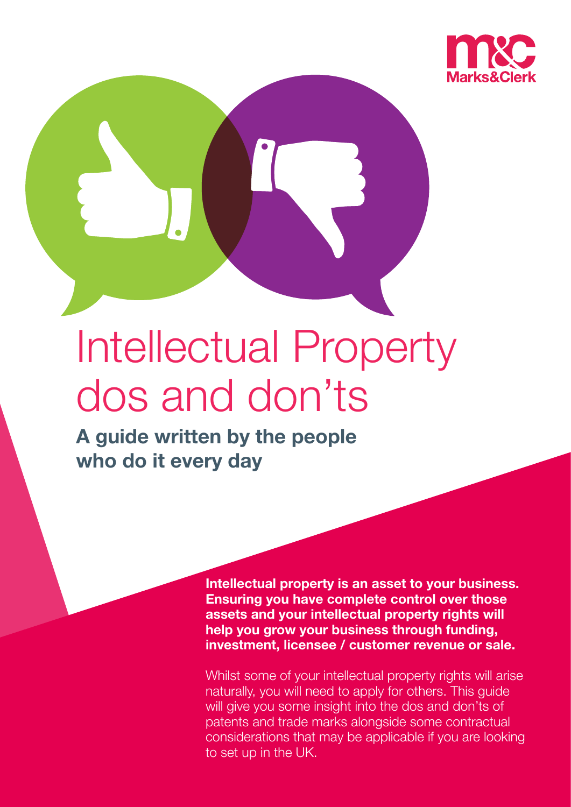

# Intellectual Property dos and don'ts

**A guide written by the people who do it every day**

> **Intellectual property is an asset to your business. Ensuring you have complete control over those assets and your intellectual property rights will help you grow your business through funding, investment, licensee / customer revenue or sale.**

Whilst some of your intellectual property rights will arise naturally, you will need to apply for others. This guide will give you some insight into the dos and don'ts of patents and trade marks alongside some contractual considerations that may be applicable if you are looking to set up in the UK.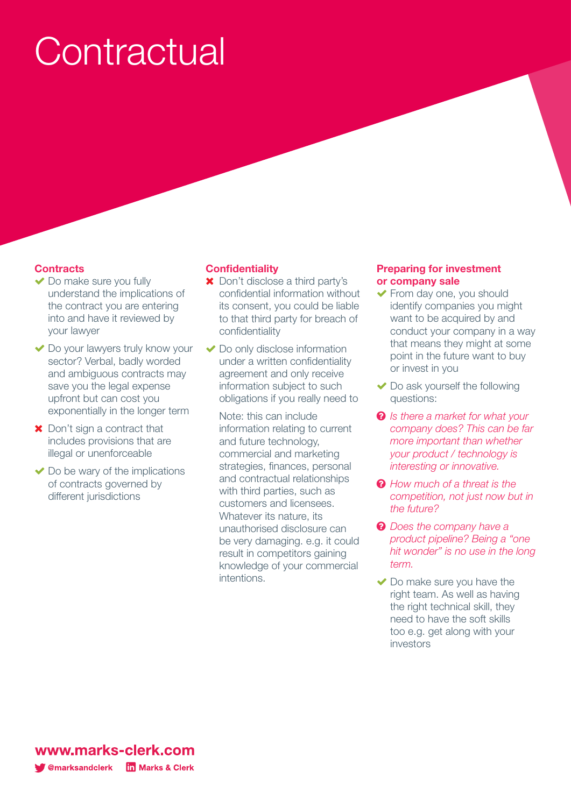# **Contractual**

### **Contracts**

- $\triangleright$  Do make sure you fully understand the implications of the contract you are entering into and have it reviewed by your lawyer
- ◆ Do your lawyers truly know your sector? Verbal, badly worded and ambiguous contracts may save you the legal expense upfront but can cost you exponentially in the longer term
- **X** Don't sign a contract that includes provisions that are illegal or unenforceable
- $\triangleright$  Do be wary of the implications of contracts governed by different jurisdictions

#### **Confidentiality**

- **\*** Don't disclose a third party's confidential information without its consent, you could be liable to that third party for breach of confidentiality
- $\blacktriangleright$  Do only disclose information under a written confidentiality agreement and only receive information subject to such obligations if you really need to
	- Note: this can include information relating to current and future technology, commercial and marketing strategies, finances, personal and contractual relationships with third parties, such as customers and licensees. Whatever its nature, its unauthorised disclosure can be very damaging. e.g. it could result in competitors gaining knowledge of your commercial intentions.

#### **Preparing for investment or company sale**

- $\blacktriangleright$  From day one, you should identify companies you might want to be acquired by and conduct your company in a way that means they might at some point in the future want to buy or invest in you
- $\triangledown$  Do ask yourself the following questions:
- $\bullet$  *Is there a market for what your company does? This can be far more important than whether your product / technology is interesting or innovative.*
- $\odot$  *How much of a threat is the competition, not just now but in the future?*
- $\odot$  *Does the company have a product pipeline? Being a "one hit wonder" is no use in the long term.*
- $\vee$  Do make sure you have the right team. As well as having the right technical skill, they need to have the soft skills too e.g. get along with your investors

www.marks-clerk.com **T** @marksandclerk **In Marks & Clerk**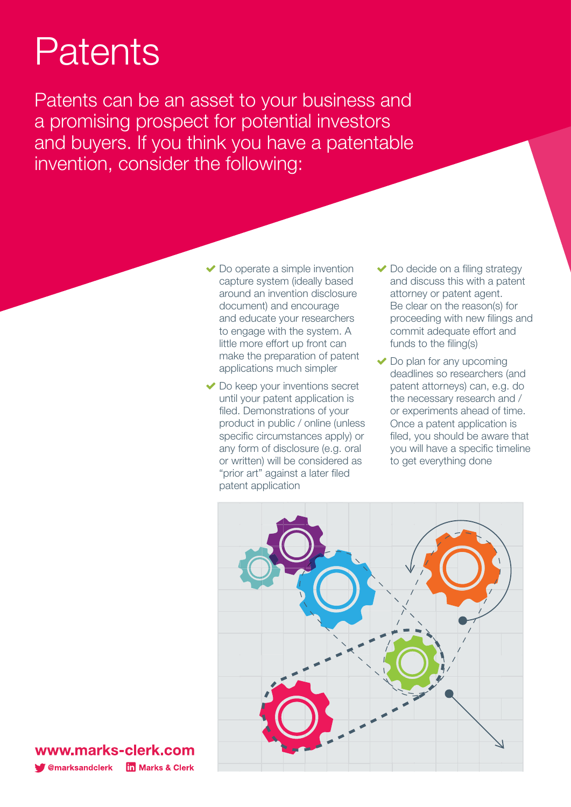## Patents

Patents can be an asset to your business and a promising prospect for potential investors and buyers. If you think you have a patentable invention, consider the following:

- $\vee$  Do operate a simple invention capture system (ideally based around an invention disclosure document) and encourage and educate your researchers to engage with the system. A little more effort up front can make the preparation of patent applications much simpler
- $\blacktriangleright$  Do keep your inventions secret until your patent application is filed. Demonstrations of your product in public / online (unless specific circumstances apply) or any form of disclosure (e.g. oral or written) will be considered as "prior art" against a later filed patent application
- $\vee$  Do decide on a filing strategy and discuss this with a patent attorney or patent agent. Be clear on the reason(s) for proceeding with new filings and commit adequate effort and funds to the filing(s)
- $\blacktriangleright$  Do plan for any upcoming deadlines so researchers (and patent attorneys) can, e.g. do the necessary research and / or experiments ahead of time. Once a patent application is filed, you should be aware that you will have a specific timeline to get everything done



www.marks-clerk.com **T** @marksandclerk **In Marks & Clerk**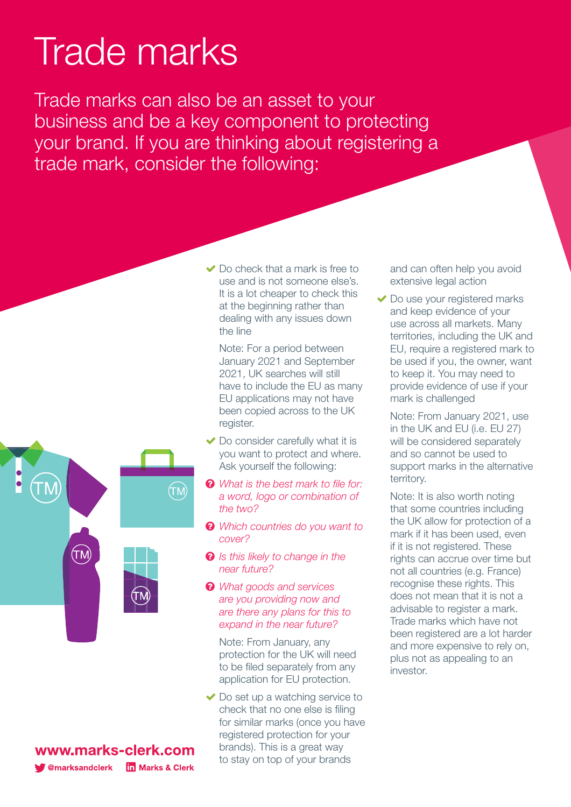## Trade marks

Trade marks can also be an asset to your business and be a key component to protecting your brand. If you are thinking about registering a trade mark, consider the following:



 $\vee$  Do check that a mark is free to

Note: For a period between January 2021 and September 2021, UK searches will still have to include the EU as many EU applications may not have been copied across to the UK register.

- $\triangleright$  Do consider carefully what it is you want to protect and where. Ask yourself the following:
- $\odot$  *What is the best mark to file for: a word, logo or combination of the two?*
- p *Which countries do you want to cover?*
- $\odot$  *Is this likely to change in the near future?*
- p *What goods and services are you providing now and are there any plans for this to expand in the near future?*

Note: From January, any protection for the UK will need to be filed separately from any application for EU protection.

 $\vee$  Do set up a watching service to check that no one else is filing for similar marks (once you have registered protection for your brands). This is a great way to stay on top of your brands

and can often help you avoid extensive legal action

 $\blacktriangleright$  Do use your registered marks and keep evidence of your use across all markets. Many territories, including the UK and EU, require a registered mark to be used if you, the owner, want to keep it. You may need to provide evidence of use if your mark is challenged

Note: From January 2021, use in the UK and EU (i.e. EU 27) will be considered separately and so cannot be used to support marks in the alternative territory.

Note: It is also worth noting that some countries including the UK allow for protection of a mark if it has been used, even if it is not registered. These rights can accrue over time but not all countries (e.g. France) recognise these rights. This does not mean that it is not a advisable to register a mark. Trade marks which have not been registered are a lot harder and more expensive to rely on, plus not as appealing to an investor.